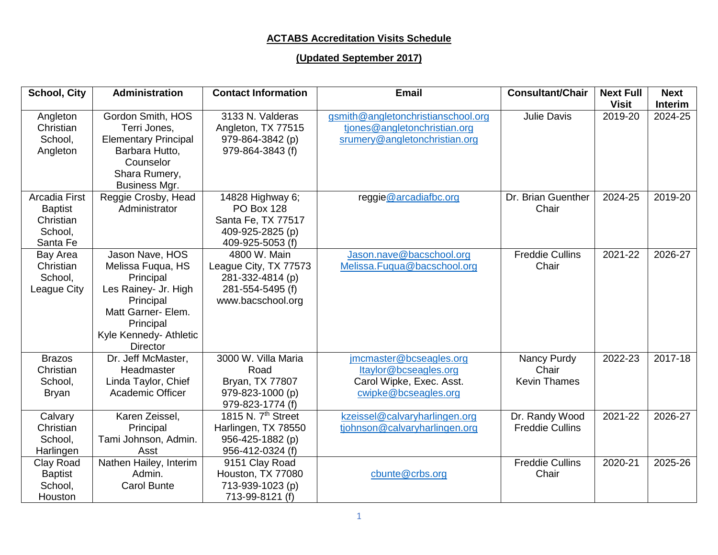## **ACTABS Accreditation Visits Schedule**

## **(Updated September 2017)**

| <b>School, City</b>                                                        | <b>Administration</b>                                                                                                                                                  | <b>Contact Information</b>                                                                          | <b>Email</b>                                                                                         | <b>Consultant/Chair</b>                     | <b>Next Full</b><br><b>Visit</b> | <b>Next</b><br><b>Interim</b> |
|----------------------------------------------------------------------------|------------------------------------------------------------------------------------------------------------------------------------------------------------------------|-----------------------------------------------------------------------------------------------------|------------------------------------------------------------------------------------------------------|---------------------------------------------|----------------------------------|-------------------------------|
| Angleton<br>Christian<br>School,<br>Angleton                               | Gordon Smith, HOS<br>Terri Jones,<br><b>Elementary Principal</b><br>Barbara Hutto,<br>Counselor<br>Shara Rumery,<br>Business Mgr.                                      | 3133 N. Valderas<br>Angleton, TX 77515<br>979-864-3842 (p)<br>979-864-3843 (f)                      | gsmith@angletonchristianschool.org<br>tjones@angletonchristian.org<br>srumery@angletonchristian.org  | <b>Julie Davis</b>                          | 2019-20                          | 2024-25                       |
| <b>Arcadia First</b><br><b>Baptist</b><br>Christian<br>School,<br>Santa Fe | Reggie Crosby, Head<br>Administrator                                                                                                                                   | 14828 Highway 6;<br><b>PO Box 128</b><br>Santa Fe, TX 77517<br>409-925-2825 (p)<br>409-925-5053 (f) | reggie@arcadiafbc.org                                                                                | Dr. Brian Guenther<br>Chair                 | 2024-25                          | 2019-20                       |
| Bay Area<br>Christian<br>School,<br>League City                            | Jason Nave, HOS<br>Melissa Fuqua, HS<br>Principal<br>Les Rainey- Jr. High<br>Principal<br>Matt Garner- Elem.<br>Principal<br>Kyle Kennedy- Athletic<br><b>Director</b> | 4800 W. Main<br>League City, TX 77573<br>281-332-4814 (p)<br>281-554-5495 (f)<br>www.bacschool.org  | Jason.nave@bacschool.org<br>Melissa.Fuqua@bacschool.org                                              | <b>Freddie Cullins</b><br>Chair             | 2021-22                          | 2026-27                       |
| <b>Brazos</b><br>Christian<br>School,<br><b>Bryan</b>                      | Dr. Jeff McMaster,<br>Headmaster<br>Linda Taylor, Chief<br>Academic Officer                                                                                            | 3000 W. Villa Maria<br>Road<br>Bryan, TX 77807<br>979-823-1000 (p)<br>979-823-1774 (f)              | jmcmaster@bcseagles.org<br>Itaylor@bcseagles.org<br>Carol Wipke, Exec. Asst.<br>cwipke@bcseagles.org | Nancy Purdy<br>Chair<br><b>Kevin Thames</b> | 2022-23                          | 2017-18                       |
| Calvary<br>Christian<br>School,<br>Harlingen                               | Karen Zeissel,<br>Principal<br>Tami Johnson, Admin.<br>Asst                                                                                                            | 1815 N. 7 <sup>th</sup> Street<br>Harlingen, TX 78550<br>956-425-1882 (p)<br>956-412-0324 (f)       | kzeissel@calvaryharlingen.org<br>tjohnson@calvaryharlingen.org                                       | Dr. Randy Wood<br><b>Freddie Cullins</b>    | 2021-22                          | 2026-27                       |
| Clay Road<br><b>Baptist</b><br>School,<br>Houston                          | Nathen Hailey, Interim<br>Admin.<br><b>Carol Bunte</b>                                                                                                                 | 9151 Clay Road<br>Houston, TX 77080<br>713-939-1023 (p)<br>713-99-8121 (f)                          | cbunte@crbs.org                                                                                      | <b>Freddie Cullins</b><br>Chair             | 2020-21                          | 2025-26                       |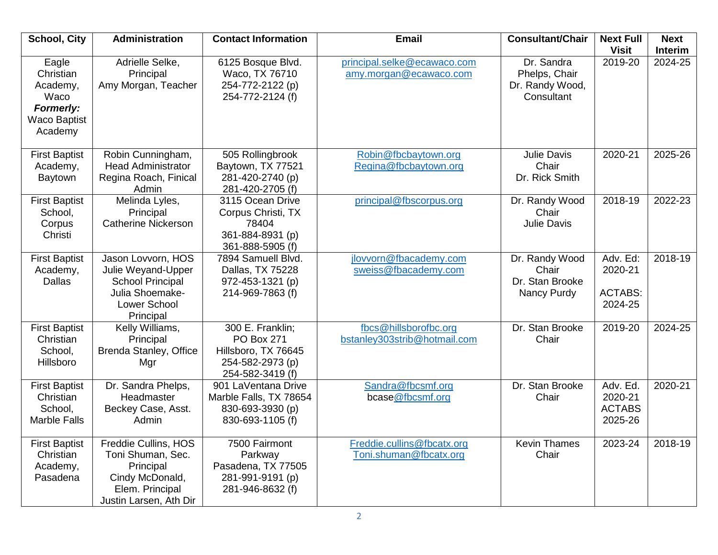| <b>School, City</b>                                                                          | Administration                                                                                                             | <b>Contact Information</b>                                                                           | <b>Email</b>                                          | <b>Consultant/Chair</b>                                      | <b>Next Full</b><br><b>Visit</b>                 | <b>Next</b><br><b>Interim</b> |
|----------------------------------------------------------------------------------------------|----------------------------------------------------------------------------------------------------------------------------|------------------------------------------------------------------------------------------------------|-------------------------------------------------------|--------------------------------------------------------------|--------------------------------------------------|-------------------------------|
| Eagle<br>Christian<br>Academy,<br>Waco<br><b>Formerly:</b><br><b>Waco Baptist</b><br>Academy | Adrielle Selke,<br>Principal<br>Amy Morgan, Teacher                                                                        | 6125 Bosque Blvd.<br>Waco, TX 76710<br>254-772-2122 (p)<br>254-772-2124 (f)                          | principal.selke@ecawaco.com<br>amy.morgan@ecawaco.com | Dr. Sandra<br>Phelps, Chair<br>Dr. Randy Wood,<br>Consultant | 2019-20                                          | 2024-25                       |
| <b>First Baptist</b><br>Academy,<br>Baytown                                                  | Robin Cunningham,<br><b>Head Administrator</b><br>Regina Roach, Finical<br>Admin                                           | 505 Rollingbrook<br>Baytown, TX 77521<br>281-420-2740 (p)<br>281-420-2705 (f)                        | Robin@fbcbaytown.org<br>Regina@fbcbaytown.org         | <b>Julie Davis</b><br>Chair<br>Dr. Rick Smith                | 2020-21                                          | 2025-26                       |
| <b>First Baptist</b><br>School,<br>Corpus<br>Christi                                         | Melinda Lyles,<br>Principal<br><b>Catherine Nickerson</b>                                                                  | 3115 Ocean Drive<br>Corpus Christi, TX<br>78404<br>361-884-8931 (p)<br>361-888-5905 (f)              | principal@fbscorpus.org                               | Dr. Randy Wood<br>Chair<br><b>Julie Davis</b>                | 2018-19                                          | 2022-23                       |
| <b>First Baptist</b><br>Academy,<br><b>Dallas</b>                                            | Jason Lovvorn, HOS<br>Julie Weyand-Upper<br><b>School Principal</b><br>Julia Shoemake-<br><b>Lower School</b><br>Principal | 7894 Samuell Blvd.<br>Dallas, TX 75228<br>972-453-1321 (p)<br>214-969-7863 (f)                       | jlovvorn@fbacademy.com<br>sweiss@fbacademy.com        | Dr. Randy Wood<br>Chair<br>Dr. Stan Brooke<br>Nancy Purdy    | Adv. Ed:<br>2020-21<br><b>ACTABS:</b><br>2024-25 | 2018-19                       |
| <b>First Baptist</b><br>Christian<br>School,<br>Hillsboro                                    | Kelly Williams,<br>Principal<br><b>Brenda Stanley, Office</b><br>Mgr                                                       | 300 E. Franklin;<br><b>PO Box 271</b><br>Hillsboro, TX 76645<br>254-582-2973 (p)<br>254-582-3419 (f) | fbcs@hillsborofbc.org<br>bstanley303strib@hotmail.com | Dr. Stan Brooke<br>Chair                                     | 2019-20                                          | 2024-25                       |
| <b>First Baptist</b><br>Christian<br>School,<br><b>Marble Falls</b>                          | Dr. Sandra Phelps,<br>Headmaster<br>Beckey Case, Asst.<br>Admin                                                            | 901 LaVentana Drive<br>Marble Falls, TX 78654<br>830-693-3930 (p)<br>830-693-1105 (f)                | Sandra@fbcsmf.org<br>bcase@fbcsmf.org                 | Dr. Stan Brooke<br>Chair                                     | Adv. Ed.<br>2020-21<br><b>ACTABS</b><br>2025-26  | 2020-21                       |
| <b>First Baptist</b><br>Christian<br>Academy,<br>Pasadena                                    | Freddie Cullins, HOS<br>Toni Shuman, Sec.<br>Principal<br>Cindy McDonald,<br>Elem. Principal<br>Justin Larsen, Ath Dir     | 7500 Fairmont<br>Parkway<br>Pasadena, TX 77505<br>281-991-9191 (p)<br>281-946-8632 (f)               | Freddie.cullins@fbcatx.org<br>Toni.shuman@fbcatx.org  | <b>Kevin Thames</b><br>Chair                                 | 2023-24                                          | 2018-19                       |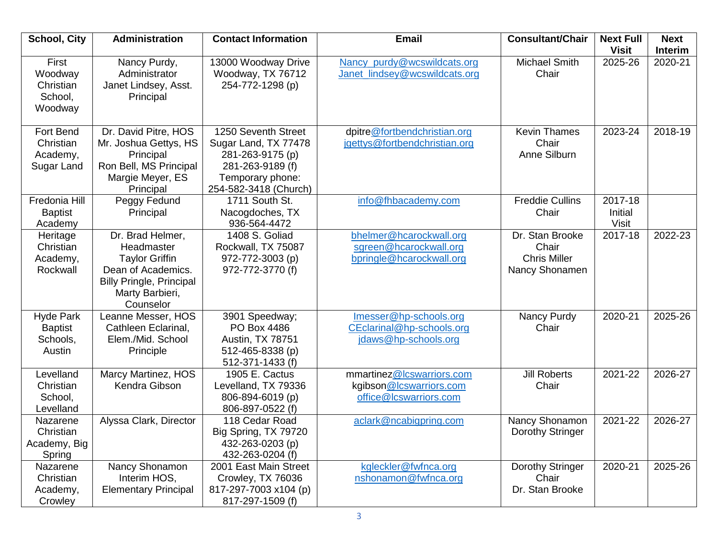| <b>School, City</b>                                      | Administration                                                                                                                                   | <b>Contact Information</b>                                                                                                       | <b>Email</b>                                                                   | <b>Consultant/Chair</b>                                           | <b>Next Full</b><br><b>Visit</b>   | <b>Next</b><br>Interim |
|----------------------------------------------------------|--------------------------------------------------------------------------------------------------------------------------------------------------|----------------------------------------------------------------------------------------------------------------------------------|--------------------------------------------------------------------------------|-------------------------------------------------------------------|------------------------------------|------------------------|
| First<br>Woodway<br>Christian<br>School,<br>Woodway      | Nancy Purdy,<br>Administrator<br>Janet Lindsey, Asst.<br>Principal                                                                               | 13000 Woodway Drive<br>Woodway, TX 76712<br>254-772-1298 (p)                                                                     | Nancy purdy@wcswildcats.org<br>Janet lindsey@wcswildcats.org                   | <b>Michael Smith</b><br>Chair                                     | 2025-26                            | 2020-21                |
| <b>Fort Bend</b><br>Christian<br>Academy,<br>Sugar Land  | Dr. David Pitre, HOS<br>Mr. Joshua Gettys, HS<br>Principal<br>Ron Bell, MS Principal<br>Margie Meyer, ES<br>Principal                            | 1250 Seventh Street<br>Sugar Land, TX 77478<br>281-263-9175 (p)<br>281-263-9189 (f)<br>Temporary phone:<br>254-582-3418 (Church) | dpitre@fortbendchristian.org<br>jgettys@fortbendchristian.org                  | <b>Kevin Thames</b><br>Chair<br>Anne Silburn                      | 2023-24                            | 2018-19                |
| Fredonia Hill<br><b>Baptist</b><br>Academy               | Peggy Fedund<br>Principal                                                                                                                        | 1711 South St.<br>Nacogdoches, TX<br>936-564-4472                                                                                | info@fhbacademy.com                                                            | <b>Freddie Cullins</b><br>Chair                                   | 2017-18<br>Initial<br><b>Visit</b> |                        |
| Heritage<br>Christian<br>Academy,<br>Rockwall            | Dr. Brad Helmer,<br>Headmaster<br><b>Taylor Griffin</b><br>Dean of Academics.<br><b>Billy Pringle, Principal</b><br>Marty Barbieri,<br>Counselor | 1408 S. Goliad<br>Rockwall, TX 75087<br>972-772-3003 (p)<br>972-772-3770 (f)                                                     | bhelmer@hcarockwall.org<br>sgreen@hcarockwall.org<br>bpringle@hcarockwall.org  | Dr. Stan Brooke<br>Chair<br><b>Chris Miller</b><br>Nancy Shonamen | 2017-18                            | 2022-23                |
| <b>Hyde Park</b><br><b>Baptist</b><br>Schools,<br>Austin | Leanne Messer, HOS<br>Cathleen Eclarinal,<br>Elem./Mid. School<br>Principle                                                                      | 3901 Speedway;<br>PO Box 4486<br>Austin, TX 78751<br>512-465-8338 (p)<br>512-371-1433 (f)                                        | Imesser@hp-schools.org<br>CEclarinal@hp-schools.org<br>jdaws@hp-schools.org    | Nancy Purdy<br>Chair                                              | 2020-21                            | 2025-26                |
| Levelland<br>Christian<br>School,<br>Levelland           | Marcy Martinez, HOS<br>Kendra Gibson                                                                                                             | 1905 E. Cactus<br>Levelland, TX 79336<br>806-894-6019 (p)<br>806-897-0522 (f)                                                    | mmartinez@lcswarriors.com<br>kgibson@Icswarriors.com<br>office@lcswarriors.com | <b>Jill Roberts</b><br>Chair                                      | 2021-22                            | 2026-27                |
| Nazarene<br>Christian<br>Academy, Big<br>Spring          | Alyssa Clark, Director                                                                                                                           | 118 Cedar Road<br>Big Spring, TX 79720<br>432-263-0203 (p)<br>432-263-0204 (f)                                                   | aclark@ncabigpring.com                                                         | Nancy Shonamon<br>Dorothy Stringer                                | 2021-22                            | 2026-27                |
| Nazarene<br>Christian<br>Academy,<br>Crowley             | Nancy Shonamon<br>Interim HOS,<br><b>Elementary Principal</b>                                                                                    | 2001 East Main Street<br>Crowley, TX 76036<br>817-297-7003 x104 (p)<br>817-297-1509 (f)                                          | kgleckler@fwfnca.org<br>nshonamon@fwfnca.org                                   | Dorothy Stringer<br>Chair<br>Dr. Stan Brooke                      | 2020-21                            | 2025-26                |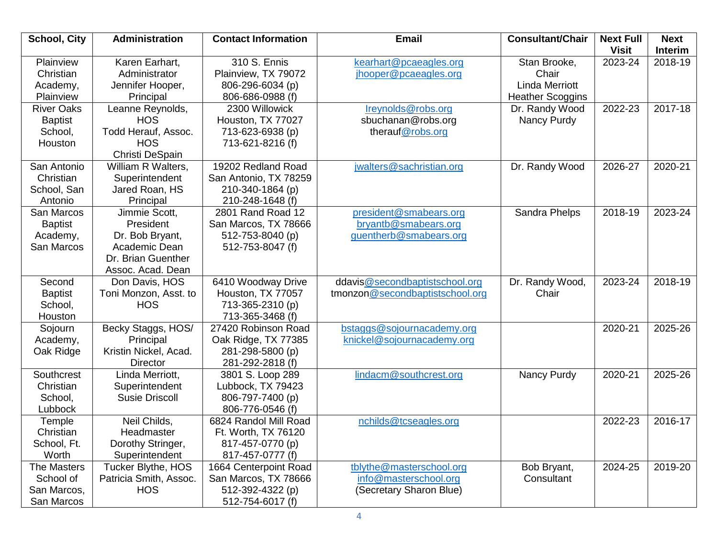| <b>School, City</b>                                          | Administration                                                                                            | <b>Contact Information</b>                                                            | <b>Email</b>                                                                 | <b>Consultant/Chair</b>                                                   | <b>Next Full</b><br><b>Visit</b> | <b>Next</b><br><b>Interim</b> |
|--------------------------------------------------------------|-----------------------------------------------------------------------------------------------------------|---------------------------------------------------------------------------------------|------------------------------------------------------------------------------|---------------------------------------------------------------------------|----------------------------------|-------------------------------|
| Plainview<br>Christian<br>Academy,<br>Plainview              | Karen Earhart,<br>Administrator<br>Jennifer Hooper,<br>Principal                                          | 310 S. Ennis<br>Plainview, TX 79072<br>806-296-6034 (p)<br>806-686-0988 (f)           | kearhart@pcaeagles.org<br>jhooper@pcaeagles.org                              | Stan Brooke,<br>Chair<br><b>Linda Merriott</b><br><b>Heather Scoggins</b> | 2023-24                          | 2018-19                       |
| <b>River Oaks</b><br><b>Baptist</b><br>School,<br>Houston    | Leanne Reynolds,<br><b>HOS</b><br>Todd Herauf, Assoc.<br><b>HOS</b><br>Christi DeSpain                    | 2300 Willowick<br>Houston, TX 77027<br>713-623-6938 (p)<br>713-621-8216 (f)           | Ireynolds@robs.org<br>sbuchanan@robs.org<br>therauf@robs.org                 | Dr. Randy Wood<br>Nancy Purdy                                             | 2022-23                          | 2017-18                       |
| San Antonio<br>Christian<br>School, San<br>Antonio           | William R Walters,<br>Superintendent<br>Jared Roan, HS<br>Principal                                       | 19202 Redland Road<br>San Antonio, TX 78259<br>210-340-1864 (p)<br>210-248-1648 (f)   | jwalters@sachristian.org                                                     | Dr. Randy Wood                                                            | 2026-27                          | 2020-21                       |
| San Marcos<br><b>Baptist</b><br>Academy,<br>San Marcos       | Jimmie Scott,<br>President<br>Dr. Bob Bryant,<br>Academic Dean<br>Dr. Brian Guenther<br>Assoc. Acad. Dean | 2801 Rand Road 12<br>San Marcos, TX 78666<br>512-753-8040 (p)<br>512-753-8047 (f)     | president@smabears.org<br>bryantb@smabears.org<br>guentherb@smabears.org     | Sandra Phelps                                                             | 2018-19                          | 2023-24                       |
| Second<br><b>Baptist</b><br>School,<br>Houston               | Don Davis, HOS<br>Toni Monzon, Asst. to<br><b>HOS</b>                                                     | 6410 Woodway Drive<br>Houston, TX 77057<br>713-365-2310 (p)<br>713-365-3468 (f)       | ddavis@secondbaptistschool.org<br>tmonzon@secondbaptistschool.org            | Dr. Randy Wood,<br>Chair                                                  | 2023-24                          | 2018-19                       |
| Sojourn<br>Academy,<br>Oak Ridge                             | Becky Staggs, HOS/<br>Principal<br>Kristin Nickel, Acad.<br><b>Director</b>                               | 27420 Robinson Road<br>Oak Ridge, TX 77385<br>281-298-5800 (p)<br>281-292-2818 (f)    | bstaggs@sojournacademy.org<br>knickel@sojournacademy.org                     |                                                                           | 2020-21                          | 2025-26                       |
| Southcrest<br>Christian<br>School,<br>Lubbock                | Linda Merriott,<br>Superintendent<br><b>Susie Driscoll</b>                                                | 3801 S. Loop 289<br>Lubbock, TX 79423<br>806-797-7400 (p)<br>806-776-0546 (f)         | lindacm@southcrest.org                                                       | Nancy Purdy                                                               | 2020-21                          | 2025-26                       |
| Temple<br>Christian<br>School, Ft.<br>Worth                  | Neil Childs,<br>Headmaster<br>Dorothy Stringer,<br>Superintendent                                         | 6824 Randol Mill Road<br>Ft. Worth, TX 76120<br>817-457-0770 (p)<br>817-457-0777 (f)  | nchilds@tcseagles.org                                                        |                                                                           | 2022-23                          | $2016 - 17$                   |
| <b>The Masters</b><br>School of<br>San Marcos,<br>San Marcos | Tucker Blythe, HOS<br>Patricia Smith, Assoc.<br><b>HOS</b>                                                | 1664 Centerpoint Road<br>San Marcos, TX 78666<br>512-392-4322 (p)<br>512-754-6017 (f) | tblythe@masterschool.org<br>info@masterschool.org<br>(Secretary Sharon Blue) | Bob Bryant,<br>Consultant                                                 | 2024-25                          | 2019-20                       |